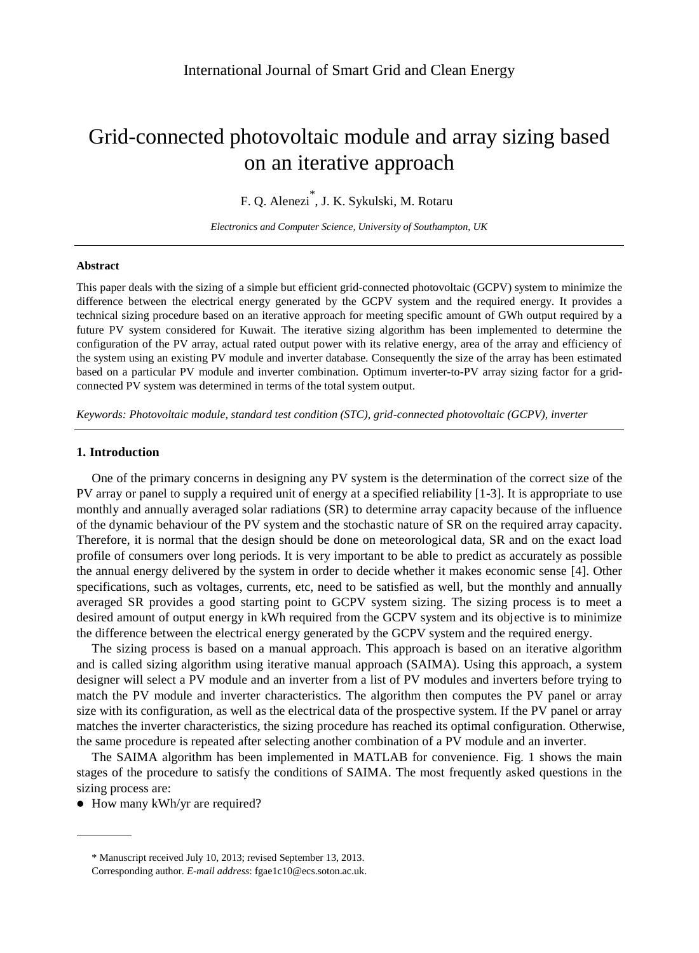# Grid-connected photovoltaic module and array sizing based on an iterative approach

F. Q. Alenezi<sup>\*</sup>, J. K. Sykulski, M. Rotaru

*Electronics and Computer Science, University of Southampton, UK*

## **Abstract**

This paper deals with the sizing of a simple but efficient grid-connected photovoltaic (GCPV) system to minimize the difference between the electrical energy generated by the GCPV system and the required energy. It provides a technical sizing procedure based on an iterative approach for meeting specific amount of GWh output required by a future PV system considered for Kuwait. The iterative sizing algorithm has been implemented to determine the configuration of the PV array, actual rated output power with its relative energy, area of the array and efficiency of the system using an existing PV module and inverter database. Consequently the size of the array has been estimated based on a particular PV module and inverter combination. Optimum inverter-to-PV array sizing factor for a gridconnected PV system was determined in terms of the total system output.

*Keywords: Photovoltaic module, standard test condition (STC), grid-connected photovoltaic (GCPV), inverter*

## **1. Introduction**

One of the primary concerns in designing any PV system is the determination of the correct size of the PV array or panel to supply a required unit of energy at a specified reliability [1-3]. It is appropriate to use monthly and annually averaged solar radiations (SR) to determine array capacity because of the influence of the dynamic behaviour of the PV system and the stochastic nature of SR on the required array capacity. Therefore, it is normal that the design should be done on meteorological data, SR and on the exact load profile of consumers over long periods. It is very important to be able to predict as accurately as possible the annual energy delivered by the system in order to decide whether it makes economic sense [4]. Other specifications, such as voltages, currents, etc, need to be satisfied as well, but the monthly and annually averaged SR provides a good starting point to GCPV system sizing. The sizing process is to meet a desired amount of output energy in kWh required from the GCPV system and its objective is to minimize the difference between the electrical energy generated by the GCPV system and the required energy.

The sizing process is based on a manual approach. This approach is based on an iterative algorithm and is called sizing algorithm using iterative manual approach (SAIMA). Using this approach, a system designer will select a PV module and an inverter from a list of PV modules and inverters before trying to match the PV module and inverter characteristics. The algorithm then computes the PV panel or array size with its configuration, as well as the electrical data of the prospective system. If the PV panel or array matches the inverter characteristics, the sizing procedure has reached its optimal configuration. Otherwise, the same procedure is repeated after selecting another combination of a PV module and an inverter.

The SAIMA algorithm has been implemented in MATLAB for convenience. Fig. 1 shows the main stages of the procedure to satisfy the conditions of SAIMA. The most frequently asked questions in the sizing process are:

• How many kWh/yr are required?

<sup>\*</sup> Manuscript received July 10, 2013; revised September 13, 2013.

Corresponding author. *E-mail address*: fgae1c10@ecs.soton.ac.uk.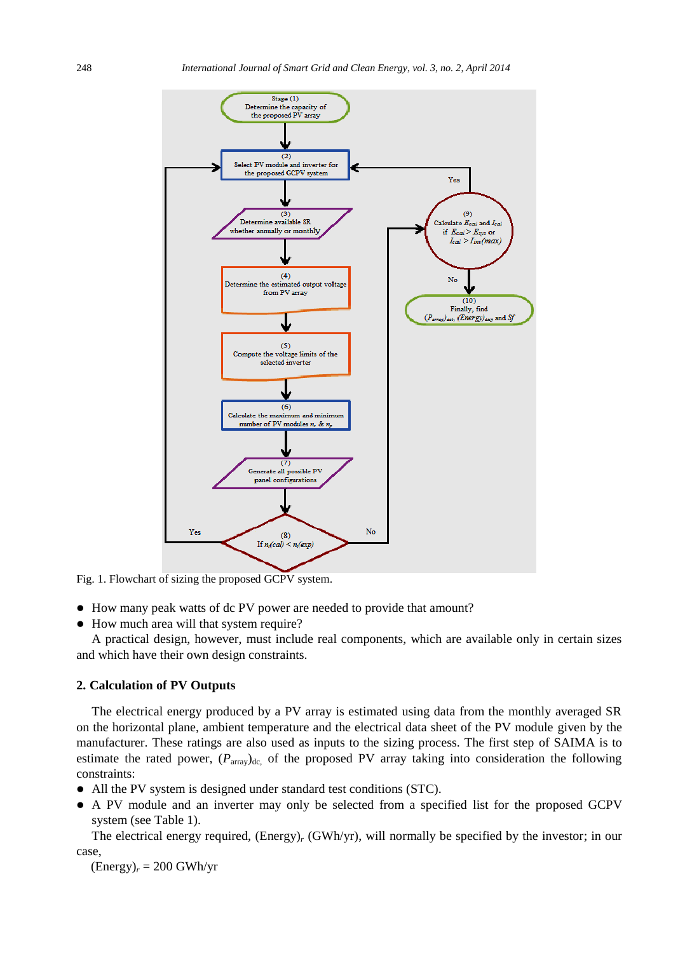

Fig. 1. Flowchart of sizing the proposed GCPV system.

- How many peak watts of dc PV power are needed to provide that amount?
- How much area will that system require?

A practical design, however, must include real components, which are available only in certain sizes and which have their own design constraints.

# **2. Calculation of PV Outputs**

The electrical energy produced by a PV array is estimated using data from the monthly averaged SR on the horizontal plane, ambient temperature and the electrical data sheet of the PV module given by the manufacturer. These ratings are also used as inputs to the sizing process. The first step of SAIMA is to estimate the rated power,  $(P_{\text{array}})_{dc}$  of the proposed PV array taking into consideration the following constraints:

- All the PV system is designed under standard test conditions (STC).
- A PV module and an inverter may only be selected from a specified list for the proposed GCPV system (see Table 1).

The electrical energy required, (Energy)*<sup>r</sup>* (GWh/yr), will normally be specified by the investor; in our case,

 $(Energy)_r = 200 \text{ GWh/yr}$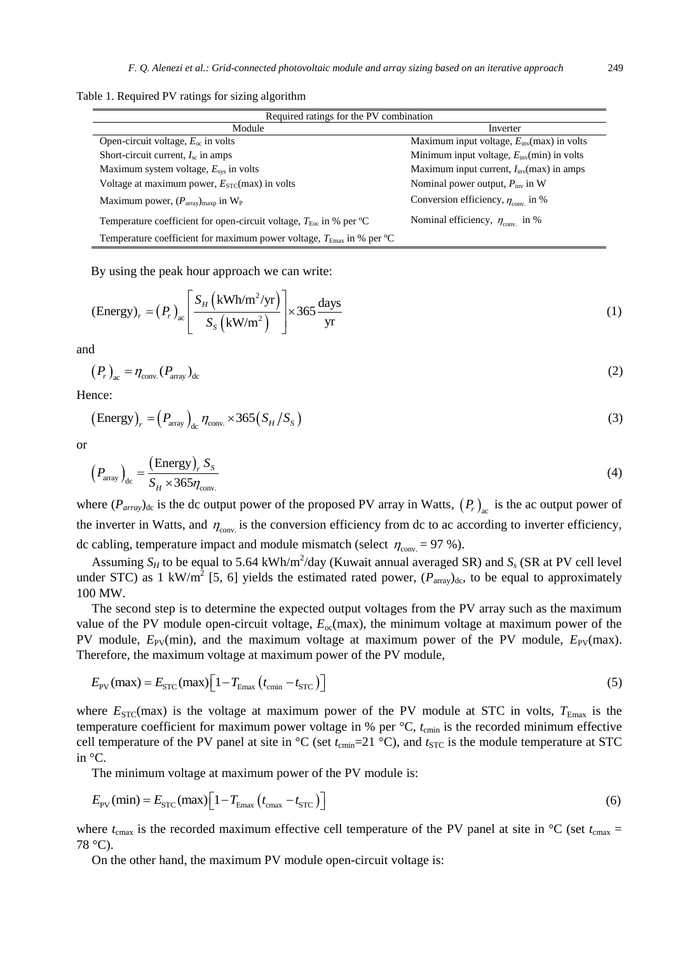Table 1. Required PV ratings for sizing algorithm

| Required ratings for the PV combination                                                   |                                                        |  |  |
|-------------------------------------------------------------------------------------------|--------------------------------------------------------|--|--|
| Module                                                                                    | Inverter                                               |  |  |
| Open-circuit voltage, $E_{\infty}$ in volts                                               | Maximum input voltage, $E_{\text{inv}}$ (max) in volts |  |  |
| Short-circuit current, $I_{\rm sc}$ in amps                                               | Minimum input voltage, $E_{\text{inv}}$ (min) in volts |  |  |
| Maximum system voltage, $E_{\rm sw}$ in volts                                             | Maximum input current, $I_{inv}$ (max) in amps         |  |  |
| Voltage at maximum power, $E_{STC}$ (max) in volts                                        | Nominal power output, $P_{\text{inv}}$ in W            |  |  |
| Maximum power, $(P_{\text{array}})_{\text{maxp}}$ in W <sub>P</sub>                       | Conversion efficiency, $\eta_{\text{conv}}$ in %       |  |  |
| Temperature coefficient for open-circuit voltage, $T_{\text{Eoc}}$ in % per $\mathbb C$   | Nominal efficiency, $\eta_{\text{conv}}$ in %          |  |  |
| Temperature coefficient for maximum power voltage, $T_{\text{Emax}}$ in % per $\mathbb C$ |                                                        |  |  |

By using the peak hour approach we can write:

$$
(\text{Energy})_r = (P_r)_{ac} \left[ \frac{S_H \left( \text{kWh/m}^2/\text{yr} \right)}{S_S \left( \text{kW/m}^2 \right)} \right] \times 365 \frac{\text{days}}{\text{yr}} \tag{1}
$$

and

$$
\left(P_r\right)_{\text{ac}} = \eta_{\text{conv.}} (P_{\text{array}})_{\text{dc}}
$$

Hence:

$$
(\text{Energy})_r = \left(P_{\text{array}}\right)_{\text{dc}} \eta_{\text{conv.}} \times 365 \left(S_H / S_S\right) \tag{3}
$$

or

$$
\left(P_{\text{array}}\right)_{\text{dc}} = \frac{\text{(Energy)}_r S_S}{S_H \times 365 \eta_{\text{conv.}}} \tag{4}
$$

where  $(P_{array})_{dc}$  is the dc output power of the proposed PV array in Watts,  $(P_r)_{ac}$  is the ac output power of the inverter in Watts, and  $\eta_{\text{conv}}$  is the conversion efficiency from dc to ac according to inverter efficiency, dc cabling, temperature impact and module mismatch (select  $\eta_{\text{conv}} = 97 \text{ %}.$ 

Assuming  $S_H$  to be equal to 5.64 kWh/m<sup>2</sup>/day (Kuwait annual averaged SR) and  $S_s$  (SR at PV cell level under STC) as 1 kW/m<sup>2</sup> [5, 6] yields the estimated rated power,  $(P_{array})_{dc}$ , to be equal to approximately 100 MW.

The second step is to determine the expected output voltages from the PV array such as the maximum value of the PV module open-circuit voltage,  $E_{\alpha}$ (max), the minimum voltage at maximum power of the PV module,  $E_{PV}(\text{min})$ , and the maximum voltage at maximum power of the PV module,  $E_{PV}(\text{max})$ . Therefore, the maximum voltage at maximum power of the PV module,

$$
E_{\rm PV}(\text{max}) = E_{\rm STC}(\text{max}) \left[ 1 - T_{\rm Emax} \left( t_{\rm cmin} - t_{\rm STC} \right) \right] \tag{5}
$$

where  $E_{STC}$ (max) is the voltage at maximum power of the PV module at STC in volts,  $T_{Emax}$  is the temperature coefficient for maximum power voltage in % per  $\mathcal{C}$ ,  $t_{\text{cmin}}$  is the recorded minimum effective cell temperature of the PV panel at site in  $\mathcal C$  (set  $t_{\text{cmin}}=21 \mathcal C$ ), and  $t_{\text{STC}}$  is the module temperature at STC in °C.

The minimum voltage at maximum power of the PV module is:

$$
E_{\rm PV}(\min) = E_{\rm STC}(\max) \Big[ 1 - T_{\rm Emax} \left( t_{\rm cmax} - t_{\rm STC} \right) \Big] \tag{6}
$$

where  $t_{\text{cmax}}$  is the recorded maximum effective cell temperature of the PV panel at site in  $\mathcal{C}$  (set  $t_{\text{cmax}} =$ 78 °C).

On the other hand, the maximum PV module open-circuit voltage is: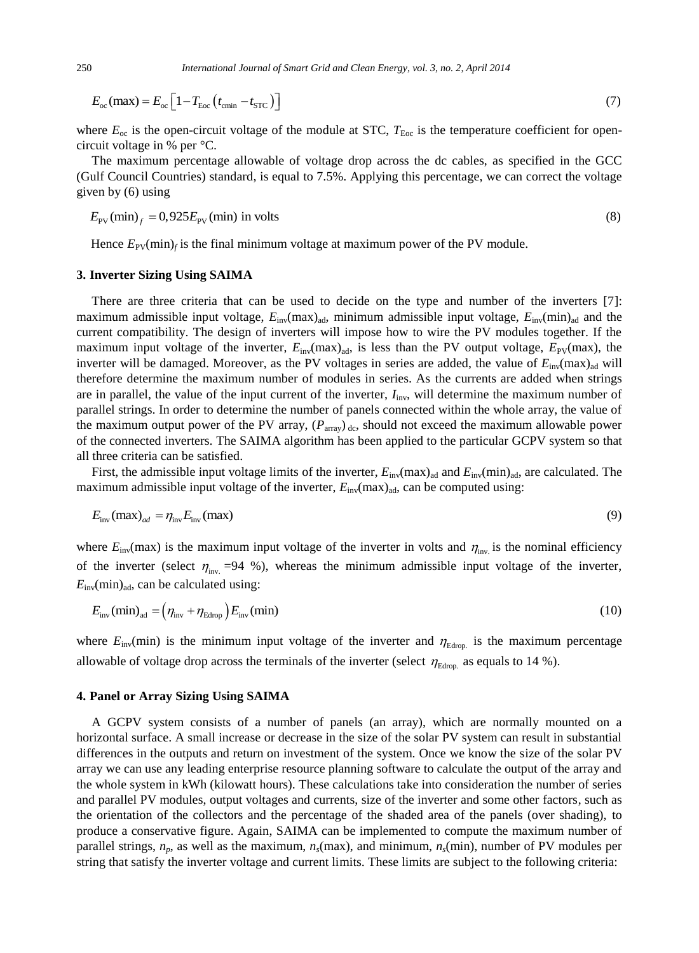$$
E_{\rm oc}(\text{max}) = E_{\rm oc} \left[ 1 - T_{\rm Eoc} \left( t_{\rm cmin} - t_{\rm STC} \right) \right] \tag{7}
$$

where  $E_{\infty}$  is the open-circuit voltage of the module at STC,  $T_{\text{Eoc}}$  is the temperature coefficient for opencircuit voltage in  $%$  per °C.

The maximum percentage allowable of voltage drop across the dc cables, as specified in the GCC (Gulf Council Countries) standard, is equal to 7.5%. Applying this percentage, we can correct the voltage given by (6) using

$$
E_{\text{PV}}(\text{min})_f = 0,925E_{\text{PV}}(\text{min}) \text{ in volts}
$$
\n(8)

Hence  $E_{\text{PV}}(\text{min})_f$  is the final minimum voltage at maximum power of the PV module.

#### **3. Inverter Sizing Using SAIMA**

There are three criteria that can be used to decide on the type and number of the inverters [7]: maximum admissible input voltage,  $E_{\text{inv}}(\text{max})_{\text{ad}}$ , minimum admissible input voltage,  $E_{\text{inv}}(\text{min})_{\text{ad}}$  and the current compatibility. The design of inverters will impose how to wire the PV modules together. If the maximum input voltage of the inverter,  $E_{inv}$ (max)<sub>ad</sub>, is less than the PV output voltage,  $E_{PV}$ (max), the inverter will be damaged. Moreover, as the PV voltages in series are added, the value of  $E_{\text{inv}}(\text{max})_{ad}$  will therefore determine the maximum number of modules in series. As the currents are added when strings are in parallel, the value of the input current of the inverter, *I*inv, will determine the maximum number of parallel strings. In order to determine the number of panels connected within the whole array, the value of the maximum output power of the PV array, ( $P_{\text{array}}$ ) dc, should not exceed the maximum allowable power of the connected inverters. The SAIMA algorithm has been applied to the particular GCPV system so that all three criteria can be satisfied.

First, the admissible input voltage limits of the inverter,  $E_{\text{inv}}(\text{max})_{ad}$  and  $E_{\text{inv}}(\text{min})_{ad}$ , are calculated. The maximum admissible input voltage of the inverter,  $E_{\text{inv}}(\text{max})_{ad}$ , can be computed using:

$$
E_{\text{inv}}(\text{max})_{ad} = \eta_{\text{inv}} E_{\text{inv}}(\text{max})
$$
\n(9)

where  $E_{\text{inv}}(\text{max})$  is the maximum input voltage of the inverter in volts and  $\eta_{\text{inv}}$  is the nominal efficiency of the inverter (select  $\eta_{\text{inv}}$  =94 %), whereas the minimum admissible input voltage of the inverter,  $E_{\text{inv}}(\text{min})_{\text{ad}}$ , can be calculated using:

$$
E_{\text{inv}}(\text{min})_{\text{ad}} = \left(\eta_{\text{inv}} + \eta_{\text{Edrop}}\right) E_{\text{inv}}(\text{min})\tag{10}
$$

where  $E_{\text{inv}}(\text{min})$  is the minimum input voltage of the inverter and  $\eta_{\text{Edrop}}$  is the maximum percentage allowable of voltage drop across the terminals of the inverter (select  $\eta_{\text{Edron}}$  as equals to 14 %).

# **4. Panel or Array Sizing Using SAIMA**

A GCPV system consists of a number of panels (an array), which are normally mounted on a horizontal surface. A small increase or decrease in the size of the solar PV system can result in substantial differences in the outputs and return on investment of the system. Once we know the size of the solar PV array we can use any leading enterprise resource planning software to calculate the output of the array and the whole system in kWh (kilowatt hours). These calculations take into consideration the number of series and parallel PV modules, output voltages and currents, size of the inverter and some other factors, such as the orientation of the collectors and the percentage of the shaded area of the panels (over shading), to produce a conservative figure. Again, SAIMA can be implemented to compute the maximum number of parallel strings,  $n_p$ , as well as the maximum,  $n_s$ (max), and minimum,  $n_s$ (min), number of PV modules per string that satisfy the inverter voltage and current limits. These limits are subject to the following criteria: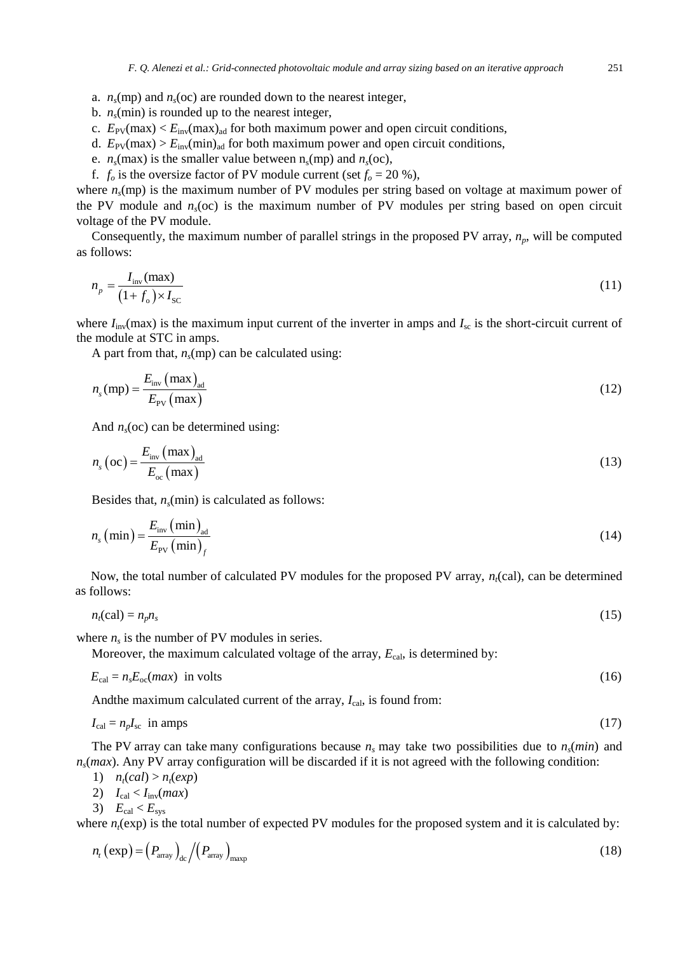- a.  $n_s$ (mp) and  $n_s$ (oc) are rounded down to the nearest integer,
- b.  $n_s$ (min) is rounded up to the nearest integer,
- c.  $E_{PV}(\text{max}) < E_{inv}(\text{max})_{ad}$  for both maximum power and open circuit conditions,
- d.  $E_{PV}(\text{max}) > E_{inv}(\text{min})_{ad}$  for both maximum power and open circuit conditions,
- e.  $n_s$ (max) is the smaller value between  $n_s$ (mp) and  $n_s$ (oc),
- f.  $f_o$  is the oversize factor of PV module current (set  $f_o = 20\%$ ),

where  $n<sub>s</sub>(mp)$  is the maximum number of PV modules per string based on voltage at maximum power of the PV module and  $n<sub>s</sub>(\text{oc})$  is the maximum number of PV modules per string based on open circuit voltage of the PV module.

Consequently, the maximum number of parallel strings in the proposed PV array, *np*, will be computed as follows:

$$
n_p = \frac{I_{\text{inv}}(\text{max})}{(1 + f_o) \times I_{\text{SC}}}
$$
(11)

where  $I_{inv}$ (max) is the maximum input current of the inverter in amps and  $I_{sc}$  is the short-circuit current of the module at STC in amps.

A part from that,  $n_s$ (mp) can be calculated using:

$$
n_s \text{(mp)} = \frac{E_{\text{inv}} \text{(max)}_{\text{ad}}}{E_{\text{PV}} \text{(max)}} \tag{12}
$$

And  $n<sub>s</sub>(oc)$  can be determined using:

$$
n_s\left(\text{oc}\right) = \frac{E_{\text{inv}}\left(\text{max}\right)_{\text{ad}}}{E_{\text{oc}}\left(\text{max}\right)}
$$
(13)

Besides that,  $n_s$ (min) is calculated as follows:

$$
n_s \left(\min\right) = \frac{E_{\text{inv}} \left(\min\right)_{\text{ad}}}{E_{\text{PV}} \left(\min\right)_f} \tag{14}
$$

Now, the total number of calculated PV modules for the proposed PV array, *nt*(cal) , can be determined as follows:

$$
n_t(\text{cal}) = n_p n_s \tag{15}
$$

where  $n<sub>s</sub>$  is the number of PV modules in series.

Moreover, the maximum calculated voltage of the array,  $E_{\text{cal}}$ , is determined by:

$$
E_{\text{cal}} = n_{\text{s}} E_{\text{oc}}(max) \text{ in volts}
$$
 (16)

And the maximum calculated current of the array,  $I_{\text{cal}}$ , is found from:

$$
I_{\rm cal} = n_p I_{\rm sc} \text{ in any}
$$

The PV array can take many configurations because  $n_s$  may take two possibilities due to  $n_s(min)$  and  $n_s(max)$ . Any PV array configuration will be discarded if it is not agreed with the following condition:

1)  $n_t(cal) > n_t(exp)$ 

2) 
$$
I_{\text{cal}} < I_{\text{inv}}(max)
$$

3)  $E_{\text{cal}} < E_{\text{sys}}$ 

where  $n_t$ (exp) is the total number of expected PV modules for the proposed system and it is calculated by:

$$
n_{t} \left(\exp\right) = \left(P_{\text{array}}\right)_{\text{dc}} / \left(P_{\text{array}}\right)_{\text{maxp}}
$$
\n(18)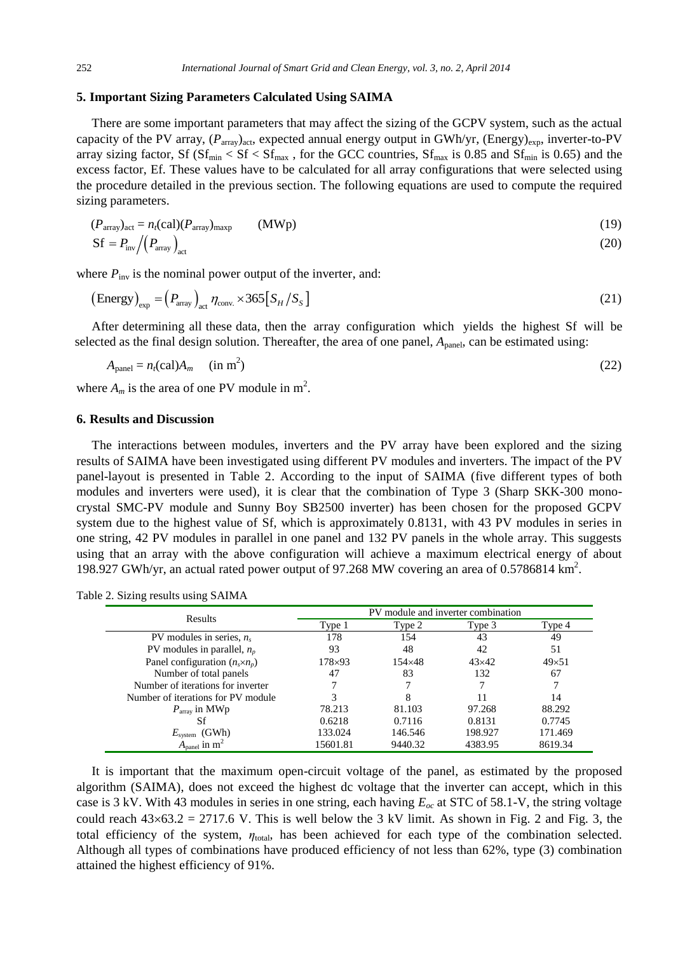#### **5. Important Sizing Parameters Calculated Using SAIMA**

There are some important parameters that may affect the sizing of the GCPV system, such as the actual capacity of the PV array,  $(P_{\text{array}})_{\text{act}}$ , expected annual energy output in GWh/yr, (Energy)<sub>exp</sub>, inverter-to-PV array sizing factor, Sf ( $Sf_{min} < Sf < Sf_{max}$ , for the GCC countries,  $Sf_{max}$  is 0.85 and  $Sf_{min}$  is 0.65) and the excess factor, Ef. These values have to be calculated for all array configurations that were selected using the procedure detailed in the previous section. The following equations are used to compute the required sizing parameters.

$$
(P_{\text{array}})_{\text{act}} = n_t(\text{cal})(P_{\text{array}})_{\text{maxp}} \qquad (\text{MWp})
$$
\n<sup>(19)</sup>

$$
Sf = P_{\text{inv}} / (P_{\text{array}})_{\text{act}} \tag{20}
$$

where  $P_{\text{inv}}$  is the nominal power output of the inverter, and:

$$
\left(\text{Energy}\right)_{\text{exp}} = \left(P_{\text{array}}\right)_{\text{act}} \eta_{\text{conv.}} \times 365 \left[S_H / S_S\right] \tag{21}
$$

After determining all these data, then the array configuration which yields the highest Sf will be selected as the final design solution. Thereafter, the area of one panel,  $A_{\text{panel}}$ , can be estimated using:

$$
A_{\text{panel}} = n_{\ell}(\text{cal})A_m \quad (\text{in } \text{m}^2)
$$

where  $A_m$  is the area of one PV module in m<sup>2</sup>.

## **6. Results and Discussion**

The interactions between modules, inverters and the PV array have been explored and the sizing results of SAIMA have been investigated using different PV modules and inverters. The impact of the PV panel-layout is presented in Table 2. According to the input of SAIMA (five different types of both modules and inverters were used), it is clear that the combination of Type 3 (Sharp SKK-300 monocrystal SMC-PV module and Sunny Boy SB2500 inverter) has been chosen for the proposed GCPV system due to the highest value of Sf, which is approximately 0.8131, with 43 PV modules in series in one string, 42 PV modules in parallel in one panel and 132 PV panels in the whole array. This suggests using that an array with the above configuration will achieve a maximum electrical energy of about 198.927 GWh/yr, an actual rated power output of 97.268 MW covering an area of 0.5786814 km<sup>2</sup>.

Table 2. Sizing results using SAIMA

| Results                                | PV module and inverter combination |               |              |              |
|----------------------------------------|------------------------------------|---------------|--------------|--------------|
|                                        | Type 1                             | Type 2        | Type 3       | Type 4       |
| PV modules in series, $n_s$            | 178                                | 154           | 43           | 49           |
| PV modules in parallel, $n_n$          | 93                                 | 48            | 42           | 51           |
| Panel configuration $(n_s \times n_n)$ | $178 \times 93$                    | $154\times48$ | $43\times42$ | $49\times51$ |
| Number of total panels                 | 47                                 | 83            | 132          | 67           |
| Number of iterations for inverter      |                                    |               |              |              |
| Number of iterations for PV module     |                                    |               |              | 14           |
| $P_{\text{array}}$ in MWp              | 78.213                             | 81.103        | 97.268       | 88.292       |
| Sf                                     | 0.6218                             | 0.7116        | 0.8131       | 0.7745       |
| $E_{\text{system}}$ (GWh)              | 133.024                            | 146.546       | 198.927      | 171.469      |
| $Apanel$ in $m2$                       | 15601.81                           | 9440.32       | 4383.95      | 8619.34      |

It is important that the maximum open-circuit voltage of the panel, as estimated by the proposed algorithm (SAIMA), does not exceed the highest dc voltage that the inverter can accept, which in this case is 3 kV. With 43 modules in series in one string, each having *Eoc* at STC of 58.1-V, the string voltage could reach  $43\times63.2 = 2717.6$  V. This is well below the 3 kV limit. As shown in Fig. 2 and Fig. 3, the total efficiency of the system,  $\eta_{\text{total}}$ , has been achieved for each type of the combination selected. Although all types of combinations have produced efficiency of not less than 62%, type (3) combination attained the highest efficiency of 91%.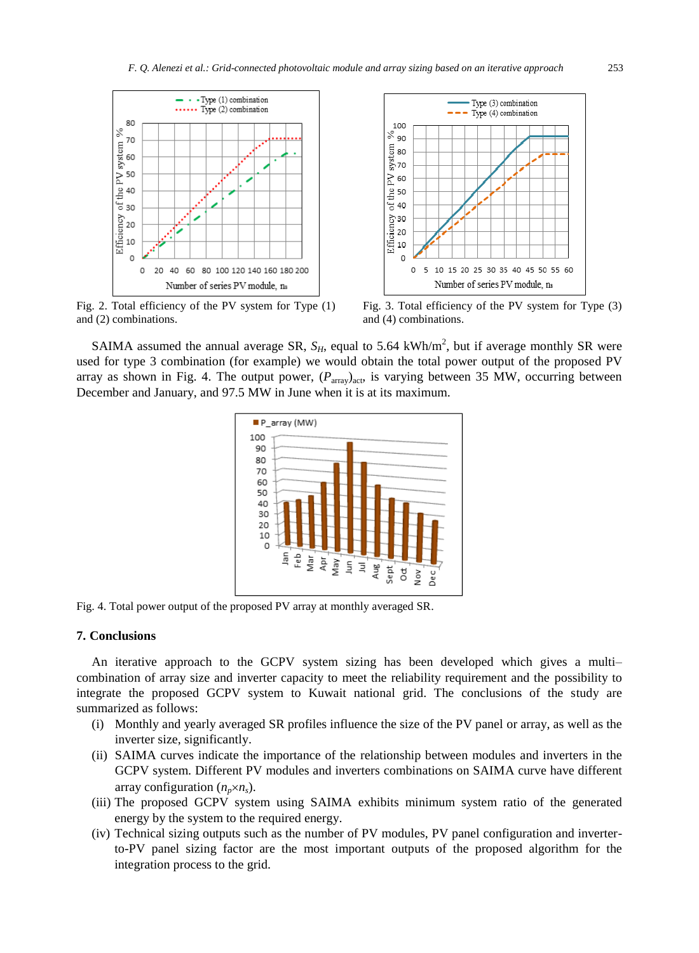

and (2) combinations.



Fig. 3. Total efficiency of the PV system for Type (3) and (4) combinations.

SAIMA assumed the annual average SR,  $S_H$ , equal to 5.64 kWh/m<sup>2</sup>, but if average monthly SR were used for type 3 combination (for example) we would obtain the total power output of the proposed PV array as shown in Fig. 4. The output power,  $(P_{\text{array}})_{\text{act}}$ , is varying between 35 MW, occurring between December and January, and 97.5 MW in June when it is at its maximum.



Fig. 4. Total power output of the proposed PV array at monthly averaged SR.

# **7. Conclusions**

An iterative approach to the GCPV system sizing has been developed which gives a multi– combination of array size and inverter capacity to meet the reliability requirement and the possibility to integrate the proposed GCPV system to Kuwait national grid. The conclusions of the study are summarized as follows:

- (i) Monthly and yearly averaged SR profiles influence the size of the PV panel or array, as well as the inverter size, significantly.
- (ii) SAIMA curves indicate the importance of the relationship between modules and inverters in the GCPV system. Different PV modules and inverters combinations on SAIMA curve have different array configuration  $(n_p \times n_s)$ .
- (iii) The proposed GCPV system using SAIMA exhibits minimum system ratio of the generated energy by the system to the required energy.
- (iv) Technical sizing outputs such as the number of PV modules, PV panel configuration and inverterto-PV panel sizing factor are the most important outputs of the proposed algorithm for the integration process to the grid.